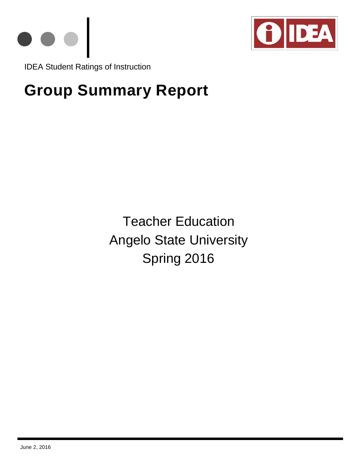



IDEA Student Ratings of Instruction

# **Group Summary Report**

Teacher Education Angelo State University Spring 2016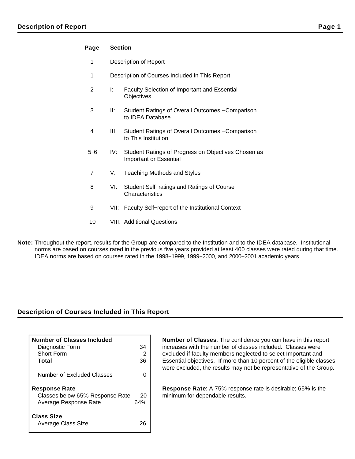#### **Page Section**

- 1 Description of Report
- 1 Description of Courses Included in This Report
- 2 I: Faculty Selection of Important and Essential **Objectives**
- 3 II: Student Ratings of Overall Outcomes − Comparison to IDEA Database
- 4 III: Student Ratings of Overall Outcomes − Comparison to This Institution
- 5−6 IV: Student Ratings of Progress on Objectives Chosen as Important or Essential
- 7 V: Teaching Methods and Styles
- 8 VI: Student Self−ratings and Ratings of Course **Characteristics**
- 9 VII: Faculty Self–report of the Institutional Context
- 10 VIII: Additional Questions
- **Note:** Throughout the report, results for the Group are compared to the Institution and to the IDEA database. Institutional norms are based on courses rated in the previous five years provided at least 400 classes were rated during that time. IDEA norms are based on courses rated in the 1998−1999, 1999−2000, and 2000−2001 academic years.

### **Description of Courses Included in This Report**

| <b>Number of Classes Included</b><br>Diagnostic Form<br>Short Form<br>Total      | 34<br>36  |
|----------------------------------------------------------------------------------|-----------|
| Number of Excluded Classes                                                       |           |
| <b>Response Rate</b><br>Classes below 65% Response Rate<br>Average Response Rate | 20<br>64% |
| <b>Class Size</b><br><b>Average Class Size</b>                                   |           |

**Number of Classes**: The confidence you can have in this report increases with the number of classes included. Classes were excluded if faculty members neglected to select Important and Essential objectives. If more than 10 percent of the eligible classes were excluded, the results may not be representative of the Group.

**Response Rate**: A 75% response rate is desirable; 65% is the minimum for dependable results.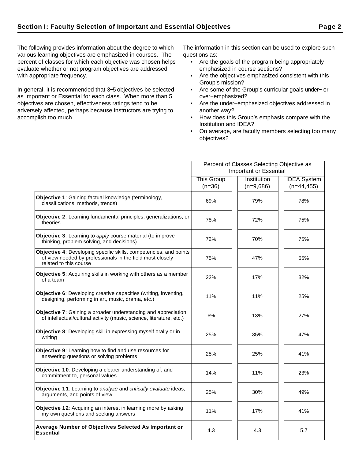The following provides information about the degree to which various learning objectives are emphasized in courses. The percent of classes for which each objective was chosen helps evaluate whether or not program objectives are addressed with appropriate frequency.

In general, it is recommended that 3−5 objectives be selected as Important or Essential for each class. When more than 5 objectives are chosen, effectiveness ratings tend to be adversely affected, perhaps because instructors are trying to accomplish too much.

The information in this section can be used to explore such questions as:

- Are the goals of the program being appropriately emphasized in course sections?
- Are the objectives emphasized consistent with this Group's mission?
- Are some of the Group's curricular goals under− or over−emphasized?
- Are the under−emphasized objectives addressed in another way?
- How does this Group's emphasis compare with the Institution and IDEA?
- On average, are faculty members selecting too many objectives?

|                                                                                                                                                          |                               | Percent of Classes Selecting Objective as |                                     |
|----------------------------------------------------------------------------------------------------------------------------------------------------------|-------------------------------|-------------------------------------------|-------------------------------------|
|                                                                                                                                                          |                               | <b>Important or Essential</b>             |                                     |
|                                                                                                                                                          | <b>This Group</b><br>$(n=36)$ | Institution<br>$(n=9,686)$                | <b>IDEA</b> System<br>$(n=44, 455)$ |
| Objective 1: Gaining factual knowledge (terminology,<br>classifications, methods, trends)                                                                | 69%                           | 79%                                       | 78%                                 |
| Objective 2: Learning fundamental principles, generalizations, or<br>theories                                                                            | 78%                           | 72%                                       | 75%                                 |
| <b>Objective 3:</b> Learning to apply course material (to improve<br>thinking, problem solving, and decisions)                                           | 72%                           | 70%                                       | 75%                                 |
| Objective 4: Developing specific skills, competencies, and points<br>of view needed by professionals in the field most closely<br>related to this course | 75%                           | 47%                                       | 55%                                 |
| <b>Objective 5:</b> Acquiring skills in working with others as a member<br>of a team                                                                     | 22%                           | 17%                                       | 32%                                 |
| Objective 6: Developing creative capacities (writing, inventing,<br>designing, performing in art, music, drama, etc.)                                    | 11%                           | 11%                                       | 25%                                 |
| <b>Objective 7:</b> Gaining a broader understanding and appreciation<br>of intellectual/cultural activity (music, science, literature, etc.)             | 6%                            | 13%                                       | 27%                                 |
| Objective 8: Developing skill in expressing myself orally or in<br>writing                                                                               | 25%                           | 35%                                       | 47%                                 |
| Objective 9: Learning how to find and use resources for<br>answering questions or solving problems                                                       | 25%                           | 25%                                       | 41%                                 |
| Objective 10: Developing a clearer understanding of, and<br>commitment to, personal values                                                               | 14%                           | 11%                                       | 23%                                 |
| <b>Objective 11:</b> Learning to analyze and critically evaluate ideas,<br>arguments, and points of view                                                 | 25%                           | 30%                                       | 49%                                 |
| Objective 12: Acquiring an interest in learning more by asking<br>my own questions and seeking answers                                                   | 11%                           | 17%                                       | 41%                                 |
| Average Number of Objectives Selected As Important or<br><b>Essential</b>                                                                                | 4.3                           | 4.3                                       | 5.7                                 |
|                                                                                                                                                          |                               |                                           |                                     |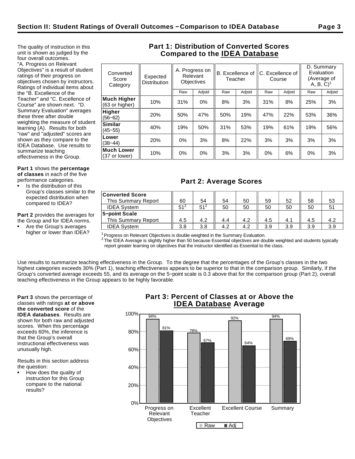The quality of instruction in this unit is shown as judged by the four overall outcomes. "A. Progress on Relevant Objectives" is a result of student ratings of their progress on objectives chosen by instructors. Ratings of individual items about the "B. Excellence of the Teacher" and "C. Excellence of Course" are shown next. "D. Summary Evaluation" averages these three after double weighting the measure of student learning (A). Results for both "raw" and "adjusted" scores are shown as they compare to the IDEA Database. Use results to

**Part 1** shows the **percentage of classes** in each of the five performance categories.

summarize teaching effectiveness in the Group.

Is the distribution of this Group's classes similar to the expected distribution when compared to IDEA?

**Part 2** provides the averages for the Group and for IDEA norms.

Are the Group's averages higher or lower than IDEA?

## **Part 1: Distribution of Converted Scores Compared to the IDEA Database**

| Converted<br>Score<br>Category | Expected<br><b>Distribution</b> |       | A. Progress on<br>Relevant<br><b>Objectives</b> | B. Excellence of<br>Teacher |        | C. Excellence of<br>Course |        | D. Summary<br>Evaluation<br>(Average of<br>$A, B, C$ <sup>1</sup> |        |
|--------------------------------|---------------------------------|-------|-------------------------------------------------|-----------------------------|--------|----------------------------|--------|-------------------------------------------------------------------|--------|
|                                |                                 | Raw   | Adjstd                                          | Raw                         | Adjstd | Raw                        | Adjstd | Raw                                                               | Adjstd |
| Much Higher<br>(63 or higher)  | 10%                             | 31%   | 0%                                              | 8%                          | 3%     | 31%                        | 8%     | 25%                                                               | 3%     |
| Higher<br>$(56 - 62)$          | 20%                             | 50%   | 47%                                             | 50%                         | 19%    | 47%                        | 22%    | 53%                                                               | 36%    |
| Similar<br>$(45 - 55)$         | 40%                             | 19%   | 50%                                             | 31%                         | 53%    | 19%                        | 61%    | 19%                                                               | 56%    |
| Lower<br>$(38 - 44)$           | 20%                             | $0\%$ | 3%                                              | 8%                          | 22%    | 3%                         | 3%     | 3%                                                                | 3%     |
| Much Lower<br>(37 or lower)    | 10%                             | 0%    | $0\%$                                           | 3%                          | 3%     | 0%                         | 6%     | 0%                                                                | 3%     |
|                                |                                 |       |                                                 |                             |        |                            |        |                                                                   |        |

## **Part 2: Average Scores**

| <b>Converted Score</b> |        |        |     |     |     |     |     |     |
|------------------------|--------|--------|-----|-----|-----|-----|-----|-----|
| This Summary Report    | 60     | 54     | 54  | 50  | 59  | 52  | 58  | 53  |
| <b>IDEA System</b>     | $51^2$ | $51^2$ | 50  | 50  | 50  | 50  | 50  |     |
| 5-point Scale          |        |        |     |     |     |     |     |     |
| This Summary Report    | 4.5    | 4.2    | 4.4 | 4.2 | 4.5 | 4.1 | 4.5 | 4.2 |
| <b>IDEA System</b>     | 3.8    | 3.8    | 4.2 | 4.2 | 3.9 | 3.9 | 3.9 | 3.9 |

 $1$ Progress on Relevant Objectives is double weighted in the Summary Evaluation.

 $^2$  The IDEA Average is slightly higher than 50 because Essential objectives are double weighted and students typically report greater learning on objectives that the instructor identified as Essential to the class.

Use results to summarize teaching effectiveness in the Group. To the degree that the percentages of the Group's classes in the two highest categories exceeds 30% (Part 1), teaching effectiveness appears to be superior to that in the comparison group. Similarly, if the Group's converted average exceeds 55, and its average on the 5−point scale is 0.3 above that for the comparison group (Part 2), overall teaching effectiveness in the Group appears to be highly favorable.

**Part 3** shows the percentage of classes with ratings **at or above the converted score** of the **IDEA databases**. Results are shown for both raw and adjusted scores. When this percentage exceeds 60%, the inference is that the Group's overall instructional effectiveness was unusually high.

Results in this section address the question:

How does the quality of instruction for this Group compare to the national results?

## **Part 3: Percent of Classes at or Above the IDEA Database Average**

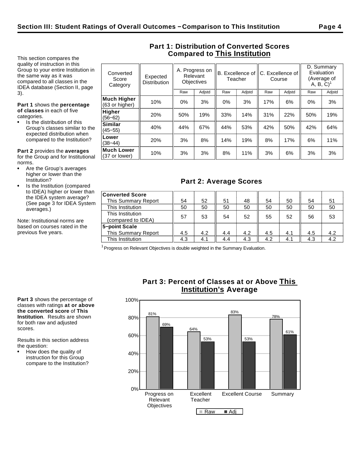This section compares the quality of instruction in this Group to your entire Institution in the same way as it was compared to all classes in the IDEA database (Section II, page 3).

**Part 1** shows the **percentage of classes** in each of five categories.

Is the distribution of this Group's classes similar to the expected distribution when compared to the Institution?

**Similar**<br>(45–55)

**Lower**<br>(38–44)

**Much Lower**

**Part 2** provides the **averages** for the Group and for Institutional norms.

- Are the Group's averages higher or lower than the Institution?
- Is the Institution (compared to IDEA) higher or lower than the IDEA system average? (See page 3 for IDEA System averages.)

Note: Institutional norms are based on courses rated in the previous five years.

| Converted<br>Score<br>Category       | Expected<br><b>Distribution</b> | A. Progress on<br>Relevant<br><b>Objectives</b> |        | B. Excellence of   C. Excellence of<br>Teacher |        | Course |        | D. Summary<br>Evaluation<br>A, B, C) | (Average of |
|--------------------------------------|---------------------------------|-------------------------------------------------|--------|------------------------------------------------|--------|--------|--------|--------------------------------------|-------------|
|                                      |                                 | Raw                                             | Adjstd | Raw                                            | Adjstd | Raw    | Adjstd | Raw                                  | Adjstd      |
| <b>Much Higher</b><br>(63 or higher) | 10%                             | $0\%$                                           | 3%     | $0\%$                                          | 3%     | 17%    | 6%     | 0%                                   | 3%          |
| <b>Higher</b><br>$(56 - 62)$         | 20%                             | 50%                                             | 19%    | 33%                                            | 14%    | 31%    | 22%    | 50%                                  | 19%         |

**0. 1.1.1.1.1.**<br>(45–55) 40% 44% 67% 44% 53% 42% 50% 42% 64%

(38−44) 20% 3% 8% 14% 19% 8% 17% 6% 11%

**Muchi Lower**  $\begin{array}{||c|c|c|c|c|} \hline \text{Moch} & 10\% & 3\% & 3\% & 8\% & 11\% & 3\% & 6\% & 3\% & 3\% \hline \end{array}$ 

**Part 1: Distribution of Converted Scores Compared to This Institution**

## **Part 2: Average Scores**

| <b>Converted Score</b> |     |     |     |     |     |     |     |     |
|------------------------|-----|-----|-----|-----|-----|-----|-----|-----|
| This Summary Report    | 54  | 52  | 51  | 48  | 54  | 50  | 54  | 51  |
| This Institution       | 50  | 50  | 50  | 50  | 50  | 50  | 50  | 50  |
| This Institution       |     |     |     |     |     |     |     |     |
| (compared to IDEA)     | 57  | 53  | 54  | 52  | 55  | 52  | 56  | 53  |
| 5-point Scale          |     |     |     |     |     |     |     |     |
| This Summary Report    | 4.5 | 4.2 | 4.4 | 4.2 | 4.5 | 4.1 | 4.5 | 4.2 |
| This Institution       | 4.3 | 4.1 | 4.4 | 4.3 | 4.2 | 4.1 | 4.3 | 4.2 |

 $1$  Progress on Relevant Objectives is double weighted in the Summary Evaluation.

**Part 3** shows the percentage of classes with ratings **at or above the converted score** of **This Institution**. Results are shown for both raw and adjusted scores.

Results in this section address the question:

How does the quality of instruction for this Group compare to the Institution?

## **Part 3: Percent of Classes at or Above This Institution's Average**

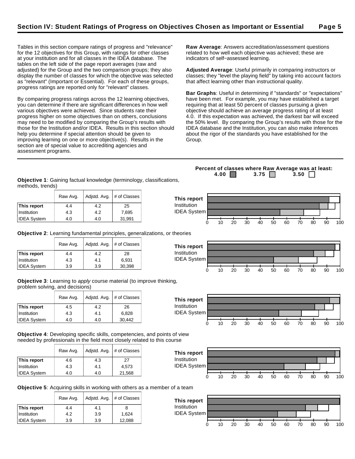Tables in this section compare ratings of progress and "relevance" for the 12 objectives for this Group, with ratings for other classes at your institution and for all classes in the IDEA database. The tables on the left side of the page report averages (raw and adjusted) for the Group and the two comparison groups; they also display the number of classes for which the objective was selected as "relevant" (Important or Essential). For each of these groups, progress ratings are reported only for "relevant" classes.

By comparing progress ratings across the 12 learning objectives, you can determine if there are significant differences in how well various objectives were achieved. Since students rate their progress higher on some objectives than on others, conclusions may need to be modified by comparing the Group's results with those for the Institution and/or IDEA. Results in this section should help you determine if special attention should be given to improving learning on one or more objective(s). Results in the section are of special value to accrediting agencies and assessment programs.

**Raw Average**: Answers accreditation/assessment questions related to how well each objective was achieved; these are indicators of self−assessed learning.

**Adjusted Average**: Useful primarily in comparing instructors or classes; they "level the playing field" by taking into account factors that affect learning other than instructional quality.

**Bar Graphs**: Useful in determining if "standards" or "expectations" have been met. For example, you may have established a target requiring that at least 50 percent of classes pursuing a given objective should achieve an average progress rating of at least 4.0. If this expectation was achieved, the darkest bar will exceed the 50% level. By comparing the Group's results with those for the IDEA database and the Institution, you can also make inferences about the rigor of the standards you have established for the Group.

**Objective 1**: Gaining factual knowledge (terminology, classifications, methods, trends)

|                    | Raw Avg. | Adjstd. Avg. | # of Classes |
|--------------------|----------|--------------|--------------|
| This report        | 4.4      | 4.2          | 25           |
| Institution        | 4.3      | 4.2          | 7,695        |
| <b>IDEA System</b> | 4.0      | 4.0          | 31,991       |

**Objective 2**: Learning fundamental principles, generalizations, or theories

|                    | Raw Avg. | Adjstd. Avg. | # of Classes |
|--------------------|----------|--------------|--------------|
| This report        | 4.4      | 4.2          | 28           |
| Institution        | 4.3      | 4.1          | 6,931        |
| <b>IDEA System</b> | 3.9      | 3.9          | 30,398       |

**Objective 3**: Learning to apply course material (to improve thinking, problem solving, and decisions)

|                    | Raw Avg. | Adjstd. Avg. | # of Classes |
|--------------------|----------|--------------|--------------|
| This report        | 4.5      | 4.2          | 26           |
| Institution        | 4.3      | 4.1          | 6,828        |
| <b>IDEA System</b> | 4.0      | 4.0          | 30.442       |

**Objective 4**: Developing specific skills, competencies, and points of view needed by professionals in the field most closely related to this course

|                    | Raw Avg. | Adjstd. Avg. | # of Classes |
|--------------------|----------|--------------|--------------|
| This report        | 4.6      | 4.3          | 27           |
| Institution        | 4.3      | 4.1          | 4.573        |
| <b>IDEA System</b> | 4.0      | 4.0          | 21,568       |



**Objective 5**: Acquiring skills in working with others as a member of a team

|                    | Raw Avg. | Adjstd. Avg. | # of Classes |
|--------------------|----------|--------------|--------------|
| This report        | 4.4      | 4.1          | 8            |
| Institution        | 4.2      | 3.9          | 1.624        |
| <b>IDEA System</b> | 3.9      | 3.9          | 12,088       |



**Percent of classes where Raw Average was at least: 4.00 3.75 3.50** 





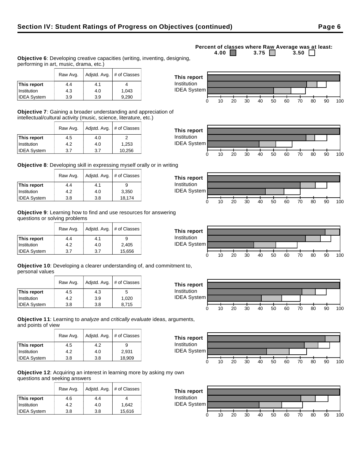#### Raw Avg.  $\vert$  Adjstd. Avg.  $\vert \#$  of Classes **This report**  $\begin{array}{|c|c|c|c|} 4.4 & 4.1 & 4.4 \end{array}$ **This report** Institution

**Objective 6**: Developing creative capacities (writing, inventing, designing,

| <b>Objective 7:</b> Gaining a broader understanding and appreciation of |
|-------------------------------------------------------------------------|
| intellectual/cultural activity (music, science, literature, etc.)       |

|                    | Raw Avg. | Adjstd. Avg. | # of Classes |
|--------------------|----------|--------------|--------------|
| This report        | 4.5      | 4.0          |              |
| Institution        | 4.2      | 4.0          | 1,253        |
| <b>IDEA System</b> | 3.7      | 3.7          | 10,256       |

Institution 1.043 4.3 4.0 1,043 IDEA System 3.9 3.9 9,290

performing in art, music, drama, etc.)

**Objective 8**: Developing skill in expressing myself orally or in writing

|                    | Raw Avg. | Adjstd. Avg. | # of Classes |
|--------------------|----------|--------------|--------------|
| This report        | 4.4      | 4.1          |              |
| Institution        | 4.2      | 4.0          | 3,350        |
| <b>IDEA System</b> | 3.8      | 3.8          | 18,174       |

**Objective 9**: Learning how to find and use resources for answering questions or solving problems

|                    | Adjstd. Avg.<br>Raw Avg. |     | # of Classes |  |  |
|--------------------|--------------------------|-----|--------------|--|--|
| This report        | 4.4                      | 4.1 | 9            |  |  |
| Institution        | 4.2                      | 4.0 | 2,405        |  |  |
| <b>IDEA System</b> | 3.7                      | 3.7 | 15,656       |  |  |

**Objective 10**: Developing a clearer understanding of, and commitment to, personal values

|                    | Adjstd. Avg.<br>Raw Avg. |     | # of Classes |
|--------------------|--------------------------|-----|--------------|
| This report        | 4.5                      | 4.3 | 5            |
| Institution        | 4.2                      | 3.9 | 1.020        |
| <b>IDEA System</b> | 3.8                      | 3.8 | 8.715        |

**Objective 11**: Learning to analyze and critically evaluate ideas, arguments, and points of view

|                    | Raw Avg. | Adjstd. Avg. | # of Classes |
|--------------------|----------|--------------|--------------|
| This report        | 4.5      | 4.2          | 9            |
| Institution        | 4.2      | 4.0          | 2.931        |
| <b>IDEA System</b> | 3.8      | 3.8          | 18,909       |

**Objective 12**: Acquiring an interest in learning more by asking my own questions and seeking answers

|                    | Raw Avg. | Adjstd. Avg. | # of Classes |
|--------------------|----------|--------------|--------------|
| This report        | 4.6      | 4.4          |              |
| Institution        | 4.2      | 4.0          | 1.642        |
| <b>IDEA System</b> | 3.8      | 3.8          | 15,616       |

#### **Percent of classes where Raw Average was at least:**<br>4.00 3.75 3.50 3.50 3.75  $\Box$













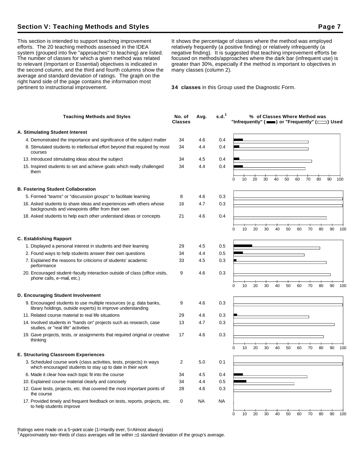## **Section V: Teaching Methods and Styles Page 7**

This section is intended to support teaching improvement efforts. The 20 teaching methods assessed in the IDEA system (grouped into five "approaches" to teaching) are listed. The number of classes for which a given method was related to relevant (Important or Essential) objectives is indicated in the second column, and the third and fourth columns show the average and standard deviation of ratings. The graph on the right hand side of the page contains the information most pertinent to instructional improvement.

It shows the percentage of classes where the method was employed relatively frequently (a positive finding) or relatively infrequently (a negative finding). It is suggested that teaching improvement efforts be focused on methods/approaches where the dark bar (infrequent use) is greater than 30%, especially if the method is important to objectives in many classes (column 2).

**34 classes** in this Group used the Diagnostic Form.

| <b>Teaching Methods and Styles</b>                                                                                                                                                         | No. of<br><b>Classes</b> | Avg.       | s.d. <sup>1</sup> |   |    |    |    |    |    |    |    | % of Classes Where Method was | "Infrequently" ( $\equiv$ ) or "Frequently" ( $\equiv$ ) Used |     |
|--------------------------------------------------------------------------------------------------------------------------------------------------------------------------------------------|--------------------------|------------|-------------------|---|----|----|----|----|----|----|----|-------------------------------|---------------------------------------------------------------|-----|
| A. Stimulating Student Interest                                                                                                                                                            |                          |            |                   |   |    |    |    |    |    |    |    |                               |                                                               |     |
| 4. Demonstrated the importance and significance of the subject matter                                                                                                                      | 34                       | 4.6        | 0.4               |   |    |    |    |    |    |    |    |                               |                                                               |     |
| 8. Stimulated students to intellectual effort beyond that required by most<br>courses                                                                                                      | 34                       | 4.4        | 0.4               |   |    |    |    |    |    |    |    |                               |                                                               |     |
| 13. Introduced stimulating ideas about the subject                                                                                                                                         | 34                       | 4.5        | 0.4               |   |    |    |    |    |    |    |    |                               |                                                               |     |
| 15. Inspired students to set and achieve goals which really challenged<br>them                                                                                                             | 34                       | 4.4        | 0.4               |   |    |    |    |    |    |    |    |                               |                                                               |     |
|                                                                                                                                                                                            |                          |            |                   | 0 | 10 | 20 | 30 | 40 | 50 | 60 | 70 | 80                            | 90                                                            | 100 |
| <b>B. Fostering Student Collaboration</b>                                                                                                                                                  |                          |            |                   |   |    |    |    |    |    |    |    |                               |                                                               |     |
| 5. Formed "teams" or "discussion groups" to facilitate learning<br>16. Asked students to share ideas and experiences with others whose<br>backgrounds and viewpoints differ from their own | 8<br>16                  | 4.6<br>4.7 | 0.3<br>0.3        |   |    |    |    |    |    |    |    |                               |                                                               |     |
| 18. Asked students to help each other understand ideas or concepts                                                                                                                         | 21                       | 4.6        | 0.4               |   |    |    |    |    |    |    |    |                               |                                                               |     |
|                                                                                                                                                                                            |                          |            |                   | 0 | 10 | 20 | 30 | 40 | 50 | 60 | 70 | 80                            | 90                                                            | 100 |
| <b>C. Establishing Rapport</b>                                                                                                                                                             |                          |            |                   |   |    |    |    |    |    |    |    |                               |                                                               |     |
| 1. Displayed a personal interest in students and their learning                                                                                                                            | 29                       | 4.5        | 0.5               |   |    |    |    |    |    |    |    |                               |                                                               |     |
| 2. Found ways to help students answer their own questions                                                                                                                                  | 34                       | 4.4        | 0.5               |   |    |    |    |    |    |    |    |                               |                                                               |     |
| 7. Explained the reasons for criticisms of students' academic<br>performance                                                                                                               | 33                       | 4.5        | 0.3               |   |    |    |    |    |    |    |    |                               |                                                               |     |
| 20. Encouraged student-faculty interaction outside of class (office visits,<br>phone calls, e-mail, etc.)                                                                                  | 9                        | 4.6        | 0.3               |   |    |    |    |    |    |    |    |                               |                                                               |     |
|                                                                                                                                                                                            |                          |            |                   | 0 | 10 | 20 | 30 | 40 | 50 | 60 | 70 | 80                            | 90                                                            | 100 |
| D. Encouraging Student Involvement                                                                                                                                                         |                          |            |                   |   |    |    |    |    |    |    |    |                               |                                                               |     |
| 9. Encouraged students to use multiple resources (e.g. data banks,<br>library holdings, outside experts) to improve understanding                                                          | 9                        | 4.6        | 0.3               |   |    |    |    |    |    |    |    |                               |                                                               |     |
| 11. Related course material to real life situations                                                                                                                                        | 29                       | 4.6        | 0.3               |   |    |    |    |    |    |    |    |                               |                                                               |     |
| 14. Involved students in "hands on" projects such as research, case<br>studies, or "real life" activities                                                                                  | 13                       | 4.7        | 0.3               |   |    |    |    |    |    |    |    |                               |                                                               |     |
| 19. Gave projects, tests, or assignments that required original or creative<br>thinking                                                                                                    | 17                       | 4.6        | 0.3               |   |    |    |    |    |    |    |    |                               |                                                               |     |
|                                                                                                                                                                                            |                          |            |                   | n | 10 | 20 | 30 | 40 | 50 | 60 | 70 | 80                            | 90                                                            | 100 |
| <b>E. Structuring Classroom Experiences</b>                                                                                                                                                |                          |            |                   |   |    |    |    |    |    |    |    |                               |                                                               |     |
| 3. Scheduled course work (class activities, tests, projects) in ways<br>which encouraged students to stay up to date in their work                                                         | 2                        | 5.0        | 0.1               |   |    |    |    |    |    |    |    |                               |                                                               |     |
| 6. Made it clear how each topic fit into the course                                                                                                                                        | 34                       | 4.5        | 0.4               |   |    |    |    |    |    |    |    |                               |                                                               |     |
| 10. Explained course material clearly and concisely                                                                                                                                        | 34                       | 4.4        | 0.5               |   |    |    |    |    |    |    |    |                               |                                                               |     |
| 12. Gave tests, projects, etc. that covered the most important points of<br>the course                                                                                                     | 28                       | 4.6        | 0.3               |   |    |    |    |    |    |    |    |                               |                                                               |     |
| 17. Provided timely and frequent feedback on tests, reports, projects, etc.<br>to help students improve                                                                                    | 0                        | NA         | <b>NA</b>         |   |    |    |    |    |    |    |    |                               |                                                               |     |
|                                                                                                                                                                                            |                          |            |                   | 0 | 10 | 20 | 30 | 40 | 50 | 60 | 70 | 80                            | 90                                                            | 100 |

Ratings were made on a 5−point scale (1=Hardly ever, 5=Almost always)

<sup>1</sup>Approximately two−thirds of class averages will be within 1 standard deviation of the group's average.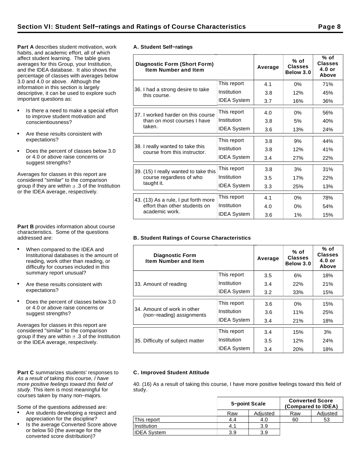**Part A** describes student motivation, work habits, and academic effort, all of which affect student learning. The table gives averages for this Group, your Institution, and the IDEA database. It also shows the percentage of classes with averages below 3.0 and 4.0 or above. Although the information in this section is largely descriptive, it can be used to explore such important questions as:

- Is there a need to make a special effort to improve student motivation and conscientiousness?
- Are these results consistent with expectations?
- Does the percent of classes below 3.0  $\bullet$ or 4.0 or above raise concerns or suggest strengths?

Averages for classes in this report are considered "similar" to the comparison group if they are within  $\pm$  .3 of the Institution or the IDEA average, respectively.

**Part B** provides information about course characteristics. Some of the questions addressed are:

- When compared to the IDEA and Institutional databases is the amount of reading, work other than reading, or difficulty for courses included in this summary report unusual?
- Are these results consistent with expectations?
- Does the percent of classes below 3.0 or 4.0 or above raise concerns or suggest strengths?

Averages for classes in this report are considered "similar" to the comparison group if they are within  $\pm$  .3 of the Institution or the IDEA average, respectively.

#### Part C summarizes students' responses to As a result of taking this course, I have more positive feelings toward this field of study. This item is most meaningful for courses taken by many non−majors.

Some of the questions addressed are:

- Are students developing a respect and appreciation for the discipline?
- Is the average Converted Score above or below 50 (the average for the converted score distribution)?

|  | A. Student Self-ratings |
|--|-------------------------|

| <b>Diagnostic Form (Short Form)</b><br><b>Item Number and Item</b> |                    | Average | $%$ of<br><b>Classes</b><br>Below 3.0 | % of<br><b>Classes</b><br>$4.0$ or<br>Above |
|--------------------------------------------------------------------|--------------------|---------|---------------------------------------|---------------------------------------------|
|                                                                    | This report        | 4.1     | 0%                                    | 71%                                         |
| 36. I had a strong desire to take<br>this course.                  | Institution        | 3.8     | 12%                                   | 45%                                         |
|                                                                    | <b>IDEA System</b> | 3.7     | 16%                                   | 36%                                         |
| 37. I worked harder on this course                                 | This report        | 4.0     | 0%                                    | 56%                                         |
| than on most courses I have                                        | Institution        | 3.8     | 5%                                    | 40%                                         |
| taken.                                                             | <b>IDEA System</b> | 3.6     | 13%                                   | 24%                                         |
|                                                                    | This report        | 3.8     | 9%                                    | 44%                                         |
| 38. I really wanted to take this<br>course from this instructor.   | Institution        | 3.8     | 12%                                   | 41%                                         |
|                                                                    | <b>IDEA System</b> | 3.4     | 27%                                   | 22%                                         |
| 39. (15) I really wanted to take this                              | This report        | 3.8     | 3%                                    | 31%                                         |
| course regardless of who                                           | Institution        | 3.5     | 17%                                   | 22%                                         |
| taught it.                                                         | <b>IDEA System</b> | 3.3     | 25%                                   | 13%                                         |
| 43. (13) As a rule, I put forth more                               | This report        | 4.1     | 0%                                    | 78%                                         |
| effort than other students on                                      | Institution        | 4.0     | 0%                                    | 54%                                         |
| academic work.                                                     | <b>IDEA System</b> | 3.6     | 1%                                    | 15%                                         |

#### **B. Student Ratings of Course Characteristics**

| <b>Diagnostic Form</b><br><b>Item Number and Item</b>    |                    | Average | $%$ of<br><b>Classes</b><br>Below 3.0 | % of<br><b>Classes</b><br>$4.0$ or<br>Above |
|----------------------------------------------------------|--------------------|---------|---------------------------------------|---------------------------------------------|
|                                                          | This report        | 3.5     | 6%                                    | 18%                                         |
| 33. Amount of reading                                    | Institution        | 3.4     | 22%                                   | 21%                                         |
|                                                          | <b>IDEA System</b> | 3.2     | 33%                                   | 15%                                         |
|                                                          | This report        | 3.6     | $0\%$                                 | 15%                                         |
| 34. Amount of work in other<br>(non-reading) assignments | Institution        | 3.6     | 11%                                   | 25%                                         |
|                                                          | <b>IDEA System</b> | 3.4     | 21%                                   | 18%                                         |
|                                                          | This report        | 3.4     | 15%                                   | 3%                                          |
| 35. Difficulty of subject matter                         | Institution        | 3.5     | 12%                                   | 24%                                         |
|                                                          | <b>IDEA System</b> | 3.4     | 20%                                   | 18%                                         |

#### **C. Improved Student Attitude**

40. (16) As a result of taking this course, I have more positive feelings toward this field of study.

|                    | 5-point Scale |          | <b>Converted Score</b><br>(Compared to IDEA) |          |  |  |  |
|--------------------|---------------|----------|----------------------------------------------|----------|--|--|--|
|                    | Raw           | Adjusted | Raw                                          | Adjusted |  |  |  |
| This report        | 4.4           | 4.0      | 60                                           | 53       |  |  |  |
| Institution        | 4.1           | 3.9      |                                              |          |  |  |  |
| <b>IDEA System</b> | 3.9           | 3.9      |                                              |          |  |  |  |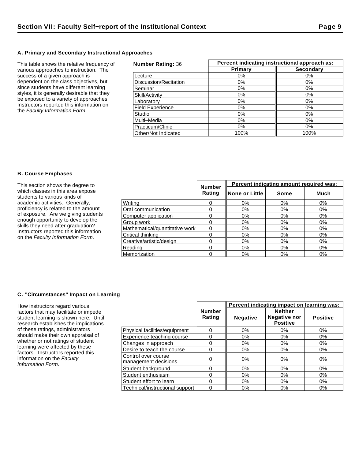#### **A. Primary and Secondary Instructional Approaches**

This table shows the relative frequency of various approaches to instruction. The success of a given approach is dependent on the class objectives, but since students have different learning styles, it is generally desirable that they be exposed to a variety of approaches. Instructors reported this information on the Faculty Information Form.

| <b>Number Rating: 36</b> | Percent indicating instructional approach as: |                  |  |  |
|--------------------------|-----------------------------------------------|------------------|--|--|
|                          | Primary                                       | <b>Secondary</b> |  |  |
| Lecture                  | $0\%$                                         | $0\%$            |  |  |
| Discussion/Recitation    | 0%                                            | 0%               |  |  |
| Seminar                  | 0%                                            | $0\%$            |  |  |
| Skill/Activity           | 0%                                            | $0\%$            |  |  |
| Laboratory               | 0%                                            | 0%               |  |  |
| <b>Field Experience</b>  | $0\%$                                         | 0%               |  |  |
| Studio                   | $0\%$                                         | $0\%$            |  |  |
| Multi-Media              | $0\%$                                         | $0\%$            |  |  |
| Practicum/Clinic         | $0\%$                                         | $0\%$            |  |  |
| Other/Not Indicated      | 100%                                          | 100%             |  |  |

#### **B. Course Emphases**

| This section shows the degree to                                                                                                                                                                                                                                       | <b>Number</b>                  | Percent indicating amount required was: |                 |       |       |
|------------------------------------------------------------------------------------------------------------------------------------------------------------------------------------------------------------------------------------------------------------------------|--------------------------------|-----------------------------------------|-----------------|-------|-------|
| which classes in this area expose<br>students to various kinds of                                                                                                                                                                                                      |                                | Rating                                  | ∥None or Little | Some  | Much  |
| academic activities. Generally,<br>proficiency is related to the amount<br>of exposure. Are we giving students<br>enough opportunity to develop the<br>skills they need after graduation?<br>Instructors reported this information<br>on the Faculty Information Form. | Writina                        |                                         | 0%              | 0%    | 0%    |
|                                                                                                                                                                                                                                                                        | Oral communication             |                                         | 0%              | 0%    | 0%    |
|                                                                                                                                                                                                                                                                        | Computer application           |                                         | $0\%$           | 0%    | 0%    |
|                                                                                                                                                                                                                                                                        | Group work                     |                                         | 0%              | $0\%$ | $0\%$ |
|                                                                                                                                                                                                                                                                        | Mathematical/quantitative work |                                         | 0%              | $0\%$ | 0%    |
|                                                                                                                                                                                                                                                                        | Critical thinking              |                                         | 0%              | 0%    | $0\%$ |
|                                                                                                                                                                                                                                                                        | Creative/artistic/design       |                                         | 0%              | 0%    | 0%    |
|                                                                                                                                                                                                                                                                        | Reading                        |                                         | 0%              | $0\%$ | 0%    |
|                                                                                                                                                                                                                                                                        | Memorization                   |                                         | 0%              | $0\%$ | 0%    |

#### **C. "Circumstances" Impact on Learning**

How instructors regard various factors that may facilitate or impede student learning is shown here. Until research establishes the implications of these ratings, administrators should make their own appraisal of whether or not ratings of student learning were affected by these factors. Instructors reported this information on the Faculty Information Form.

|                                             |                         | Percent indicating impact on learning was: |                                                   |                 |
|---------------------------------------------|-------------------------|--------------------------------------------|---------------------------------------------------|-----------------|
|                                             | <b>Number</b><br>Rating | <b>Negative</b>                            | <b>Neither</b><br>Negative nor<br><b>Positive</b> | <b>Positive</b> |
| Physical facilities/equipment               | 0                       | 0%                                         | 0%                                                | 0%              |
| Experience teaching course                  | 0                       | $0\%$                                      | 0%                                                | 0%              |
| Changes in approach                         | 0                       | 0%                                         | $0\%$                                             | $0\%$           |
| Desire to teach the course                  | 0                       | 0%                                         | $0\%$                                             | $0\%$           |
| Control over course<br>management decisions | 0                       | 0%                                         | 0%                                                | 0%              |
| Student background                          | 0                       | 0%                                         | 0%                                                | $0\%$           |
| Student enthusiasm                          | 0                       | $0\%$                                      | 0%                                                | $0\%$           |
| Student effort to learn                     | 0                       | $0\%$                                      | 0%                                                | 0%              |
| Technical/instructional support             | 0                       | 0%                                         | $0\%$                                             | 0%              |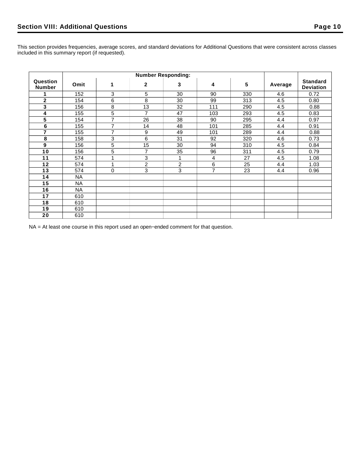This section provides frequencies, average scores, and standard deviations for Additional Questions that were consistent across classes included in this summary report (if requested).

|                           | <b>Number Responding:</b> |                |                |    |     |     |         |                                     |
|---------------------------|---------------------------|----------------|----------------|----|-----|-----|---------|-------------------------------------|
| Question<br><b>Number</b> | Omit                      | 1              | $\mathbf{2}$   | 3  | 4   | 5   | Average | <b>Standard</b><br><b>Deviation</b> |
|                           | 152                       | 3              | 5              | 30 | 90  | 330 | 4.6     | 0.72                                |
| $\mathbf{2}$              | 154                       | 6              | 8              | 30 | 99  | 313 | 4.5     | 0.80                                |
| $\mathbf{3}$              | 156                       | 8              | 13             | 32 | 111 | 290 | 4.5     | 0.88                                |
| 4                         | 155                       | 5              | $\overline{7}$ | 47 | 103 | 293 | 4.5     | 0.83                                |
| $\overline{5}$            | 154                       | 7              | 26             | 38 | 90  | 295 | 4.4     | 0.97                                |
| $\bf 6$                   | 155                       | 7              | 14             | 48 | 101 | 285 | 4.4     | 0.91                                |
| $\overline{7}$            | 155                       | $\overline{7}$ | 9              | 49 | 101 | 289 | 4.4     | 0.88                                |
| 8                         | 158                       | 3              | 6              | 31 | 92  | 320 | 4.6     | 0.73                                |
| 9                         | 156                       | 5              | 15             | 30 | 94  | 310 | 4.5     | 0.84                                |
| 10                        | 156                       | 5              | $\overline{7}$ | 35 | 96  | 311 | 4.5     | 0.79                                |
| 11                        | 574                       | 1              | $\overline{3}$ | 1  | 4   | 27  | 4.5     | 1.08                                |
| 12                        | 574                       | 1              | $\overline{c}$ | 2  | 6   | 25  | 4.4     | 1.03                                |
| 13                        | 574                       | 0              | 3              | 3  | 7   | 23  | 4.4     | 0.96                                |
| 14                        | NA.                       |                |                |    |     |     |         |                                     |
| 15                        | <b>NA</b>                 |                |                |    |     |     |         |                                     |
| 16                        | <b>NA</b>                 |                |                |    |     |     |         |                                     |
| 17                        | 610                       |                |                |    |     |     |         |                                     |
| 18                        | 610                       |                |                |    |     |     |         |                                     |
| 19                        | 610                       |                |                |    |     |     |         |                                     |
| 20                        | 610                       |                |                |    |     |     |         |                                     |

NA = At least one course in this report used an open−ended comment for that question.